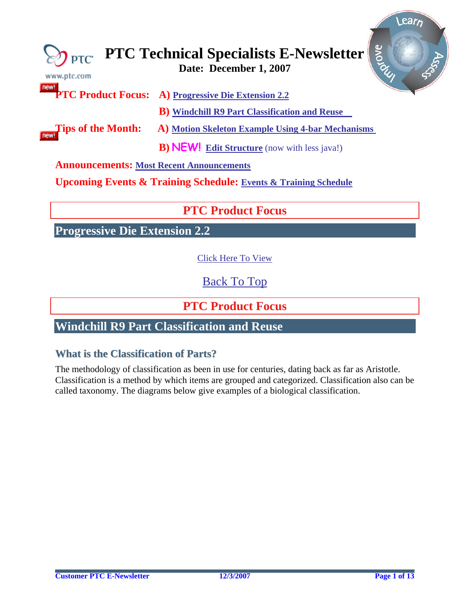<span id="page-0-0"></span>

| www.ptc.com                                     | Prove<br>$\bigotimes_{\mathsf{PTC}}$ PTC Technical Specialists E-Newsletter |  |  |  |  |  |
|-------------------------------------------------|-----------------------------------------------------------------------------|--|--|--|--|--|
| new!                                            | <b>PTC Product Focus:</b> A) Progressive Die Extension 2.2                  |  |  |  |  |  |
|                                                 | <b>B</b> ) Windchill R9 Part Classification and Reuse                       |  |  |  |  |  |
| <b>Tips of the Month:</b>                       | A) Motion Skeleton Example Using 4-bar Mechanisms                           |  |  |  |  |  |
|                                                 | <b>B) NEW!</b> Edit Structure (now with less java!)                         |  |  |  |  |  |
| <b>Announcements: Most Recent Announcements</b> |                                                                             |  |  |  |  |  |

**Upcoming Events & Training Schedule: [Events & Training Schedule](#page-11-0)**

## **PTC Product Focus**

**Progressive Die Extension 2.2** 

[Click Here To View](http://members.shaw.ca/jpeng/newsletter/PTC_Technical_Specialists_E-Newsletter_12-01-2007_desktop.pdf)

[Back To Top](#page-0-0)

**PTC Product Focus** 

## **Windchill R9 Part Classification and Reuse**

### **What is the Classification of Parts?**

The methodology of classification as been in use for centuries, dating back as far as Aristotle. Classification is a method by which [items](http://en.wikipedia.org/wiki/Biologist) are grouped and categorized. Classification also can be called taxonomy. The diagrams below give examples of a biological classification.

Learn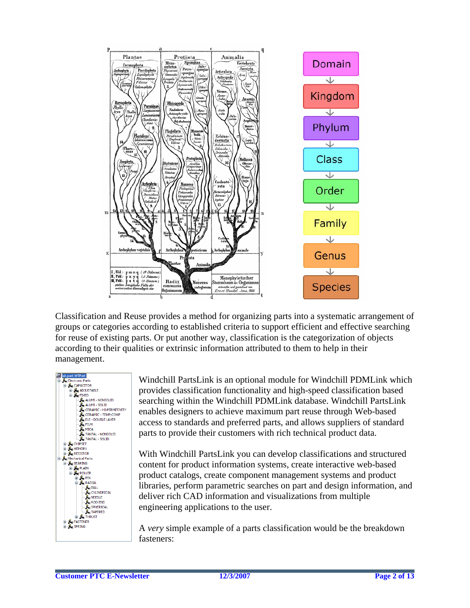

Classification and Reuse provides a method for organizing parts into a systematic arrangement of groups or categories according to established criteria to support efficient and effective searching for reuse of existing parts. Or put another way, classification is the categorization of objects according to their qualities or extrinsic information attributed to them to help in their management.



Windchill PartsLink is an optional module for Windchill PDMLink which provides classification functionality and high-speed classification based searching within the Windchill PDMLink database. Windchill PartsLink enables designers to achieve maximum part reuse through Web-based access to standards and preferred parts, and allows suppliers of standard parts to provide their customers with rich technical product data.

With Windchill PartsLink you can develop classifications and structured content for product information systems, create interactive web-based product catalogs, create component management systems and product libraries, perform parametric searches on part and design information, and deliver rich CAD information and visualizations from multiple engineering applications to the user.

A *very* simple example of a parts classification would be the breakdown fasteners: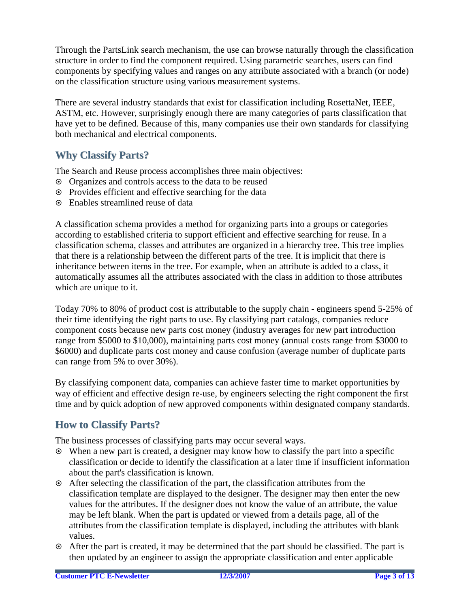Through the PartsLink search mechanism, the use can browse naturally through the classification structure in order to find the component required. Using parametric searches, users can find components by specifying values and ranges on any attribute associated with a branch (or node) on the classification structure using various measurement systems.

There are several industry standards that exist for classification including RosettaNet, IEEE, ASTM, etc. However, surprisingly enough there are many categories of parts classification that have yet to be defined. Because of this, many companies use their own standards for classifying both mechanical and electrical components.

### **Why Classify Parts?**

The Search and Reuse process accomplishes three main objectives:

- ~ Organizes and controls access to the data to be reused
- ~ Provides efficient and effective searching for the data
- ~ Enables streamlined reuse of data

A classification schema provides a method for organizing parts into a groups or categories according to established criteria to support efficient and effective searching for reuse. In a classification schema, classes and attributes are organized in a hierarchy tree. This tree implies that there is a relationship between the different parts of the tree. It is implicit that there is inheritance between items in the tree. For example, when an attribute is added to a class, it automatically assumes all the attributes associated with the class in addition to those attributes which are unique to it.

Today 70% to 80% of product cost is attributable to the supply chain - engineers spend 5-25% of their time identifying the right parts to use. By classifying part catalogs, companies reduce component costs because new parts cost money (industry averages for new part introduction range from \$5000 to \$10,000), maintaining parts cost money (annual costs range from \$3000 to \$6000) and duplicate parts cost money and cause confusion (average number of duplicate parts can range from 5% to over 30%).

By classifying component data, companies can achieve faster time to market opportunities by way of efficient and effective design re-use, by engineers selecting the right component the first time and by quick adoption of new approved components within designated company standards.

### **How to Classify Parts?**

The business processes of classifying parts may occur several ways.

- ~ When a new part is created, a designer may know how to classify the part into a specific classification or decide to identify the classification at a later time if insufficient information about the part's classification is known.
- $\odot$  After selecting the classification of the part, the classification attributes from the classification template are displayed to the designer. The designer may then enter the new values for the attributes. If the designer does not know the value of an attribute, the value may be left blank. When the part is updated or viewed from a details page, all of the attributes from the classification template is displayed, including the attributes with blank values.
- ~ After the part is created, it may be determined that the part should be classified. The part is then updated by an engineer to assign the appropriate classification and enter applicable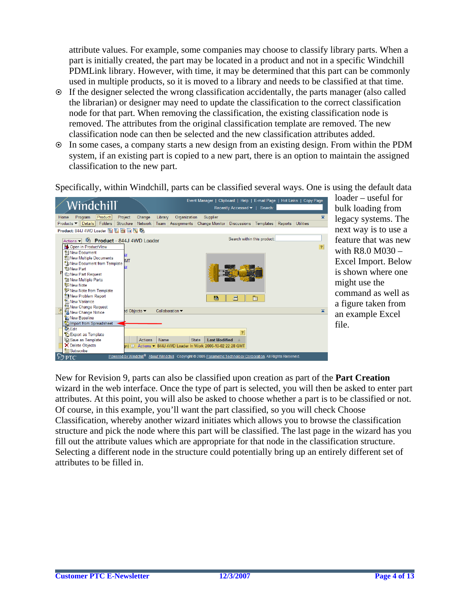attribute values. For example, some companies may choose to classify library parts. When a part is initially created, the part may be located in a product and not in a specific Windchill PDMLink library. However, with time, it may be determined that this part can be commonly used in multiple products, so it is moved to a library and needs to be classified at that time.

- ~ If the designer selected the wrong classification accidentally, the parts manager (also called the librarian) or designer may need to update the classification to the correct classification node for that part. When removing the classification, the existing classification node is removed. The attributes from the original classification template are removed. The new classification node can then be selected and the new classification attributes added.
- ~ In some cases, a company starts a new design from an existing design. From within the PDM system, if an existing part is copied to a new part, there is an option to maintain the assigned classification to the new part.

Specifically, within Windchill, parts can be classified several ways. One is using the default data



loader – useful for bulk loading from legacy systems. The next way is to use a feature that was new with R8.0 M030 – Excel Import. Below is shown where one might use the command as well as a figure taken from an example Excel file.

attributes. At this point, you will also be asked to choose whether a part is to be classified or not. structure and pick the node where this part will be classified. The last page in the wizard has you Selecting a different node in the structure could potentially bring up an entirely different set of attributes to be filled in. New for Revision 9, parts can also be classified upon creation as part of the **Part Creation** wizard in the web interface. Once the type of part is selected, you will then be asked to enter part Of course, in this example, you'll want the part classified, so you will check Choose Classification, whereby another wizard initiates which allows you to browse the classification fill out the attribute values which are appropriate for that node in the classification structure.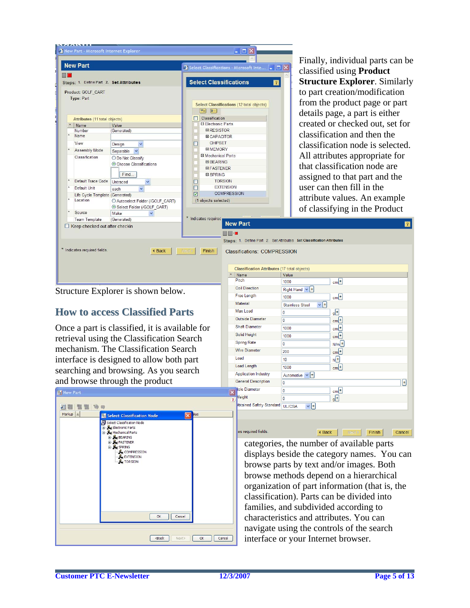

Finally, individual parts can be classified using **Product Structure Explorer**. Similarly to part creation/modification from the product page or part details page, a part is either created or checked out, set for classification and then the classification node is selected. All attributes appropriate for that classification node are assigned to that part and the user can then fill in the attribute values. An example

Structure Explorer is shown below.

### **How to access Classified Parts**

Once a part is classified, it is available for retrieval using the Classification Search mechanism. The Classification Search interface is designed to allow both part searching and browsing. As you search and browse through the product



| $\star$<br>Name         |                             | Value                              |                    |  |  |  |  |  |  |
|-------------------------|-----------------------------|------------------------------------|--------------------|--|--|--|--|--|--|
|                         | <b>Pitch</b>                | 1000                               | $cm+$              |  |  |  |  |  |  |
|                         | <b>Coil Direction</b>       | Right Hand $\vee$ +                |                    |  |  |  |  |  |  |
|                         | <b>Free Length</b>          | 1000                               | $cm+$              |  |  |  |  |  |  |
|                         | Material                    | $\vee$ +<br><b>Stainless Steel</b> |                    |  |  |  |  |  |  |
|                         | <b>Max Load</b>             | 0                                  | $g^{[\pm]}$        |  |  |  |  |  |  |
|                         | Outside Diameter            | 0                                  | $cm+$              |  |  |  |  |  |  |
|                         | <b>Shaft Diameter</b>       | 1000                               | $cm+$              |  |  |  |  |  |  |
|                         | Solid Height                | $cm+$<br>1000                      |                    |  |  |  |  |  |  |
|                         | <b>Spring Rate</b>          | 0                                  | $N/m$ <sup>+</sup> |  |  |  |  |  |  |
|                         | <b>Wire Diameter</b>        | 200                                | $cm+$              |  |  |  |  |  |  |
|                         | Load                        | 10                                 | $N_{\pm}$          |  |  |  |  |  |  |
|                         | <b>Load Length</b>          | 1000                               | $cm+$              |  |  |  |  |  |  |
|                         | <b>Application Industry</b> | Automotive $\vee$ +                |                    |  |  |  |  |  |  |
|                         | <b>General Description</b>  | 0                                  | Ŧ                  |  |  |  |  |  |  |
| $\overline{\mathsf{x}}$ | <b>Nole Diameter</b>        | 0                                  | cm <sup>1</sup>    |  |  |  |  |  |  |
| $\overline{?}$          | <b>Veight</b>               | 0                                  | $q^{[+]}$          |  |  |  |  |  |  |
|                         | btained Safety Standard     | $\vee$ +<br>UL/CSA                 |                    |  |  |  |  |  |  |
|                         |                             |                                    |                    |  |  |  |  |  |  |

categories, the number of available parts displays beside the category names. You can browse parts by text and/or images. Both browse methods depend on a hierarchical organization of part information (that is, the classification). Parts can be divided into families, and subdivided according to characteristics and attributes. You can navigate using the controls of the search interface or your Internet browser.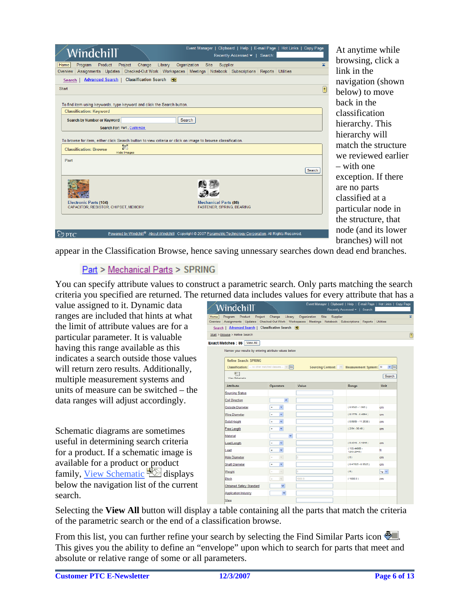|          |                                | Windchill                                                                                                   |                                      |                              |                         |              |                              | Event Manager   Clipboard   Help   E-mail Page   Hot Links   Copy Page<br>Recently Accessed v   Search: |         |                  |             |
|----------|--------------------------------|-------------------------------------------------------------------------------------------------------------|--------------------------------------|------------------------------|-------------------------|--------------|------------------------------|---------------------------------------------------------------------------------------------------------|---------|------------------|-------------|
| Home     | Program                        | Product                                                                                                     | Project                              | Change                       | Library                 | Organization | <b>Site</b><br>Supplier      |                                                                                                         |         |                  | ×.          |
| Overview |                                | Assignments Updates                                                                                         |                                      |                              |                         |              |                              | Checked-Out Work   Workspaces   Meetings   Notebook   Subscriptions                                     | Reports | <b>Utilities</b> |             |
| Search   |                                | <b>Advanced Search  </b>                                                                                    |                                      | <b>Classification Search</b> | $\overline{\mathbf{s}}$ |              |                              |                                                                                                         |         |                  |             |
| Start    |                                |                                                                                                             |                                      |                              |                         |              |                              |                                                                                                         |         |                  | $\boxed{?}$ |
|          | <b>Classification: Keyword</b> | To find item using keywords, type keyword and click the Search button.                                      |                                      |                              |                         |              |                              |                                                                                                         |         |                  |             |
|          |                                | Search by Number or Keyword                                                                                 |                                      |                              |                         | Search       |                              |                                                                                                         |         |                  |             |
|          |                                | Search For: Part, Customize                                                                                 |                                      |                              |                         |              |                              |                                                                                                         |         |                  |             |
|          |                                | To browse for item, either click Search button to view criteria or click on image to browse classification. |                                      |                              |                         |              |                              |                                                                                                         |         |                  |             |
|          | <b>Classification: Browse</b>  |                                                                                                             | $\overline{C}$<br><b>Hide Images</b> |                              |                         |              |                              |                                                                                                         |         |                  |             |
| Part     |                                |                                                                                                             |                                      |                              |                         |              |                              |                                                                                                         |         |                  |             |
|          |                                |                                                                                                             |                                      |                              |                         |              |                              |                                                                                                         |         |                  | Search      |
|          |                                |                                                                                                             |                                      |                              |                         |              |                              |                                                                                                         |         |                  |             |
|          | <b>Electronic Parts (104)</b>  | CAPACITOR, RESISTOR, CHIPSET, MEMORY                                                                        |                                      |                              |                         |              | <b>Mechanical Parts (86)</b> | FASTENER, SPRING, BEARING                                                                               |         |                  |             |
|          |                                |                                                                                                             |                                      |                              |                         |              |                              |                                                                                                         |         |                  |             |
|          |                                |                                                                                                             | Powered by Windchill <sup>®</sup>    |                              |                         |              |                              | About Windchill Copyright @ 2007 Parametric Technology Corporation. All Rights Reserved.                |         |                  |             |

At anytime while browsing, click a link in the navigation (shown below) to move back in the classification hierarchy. This hierarchy will match the structure we reviewed earlier – with one exception. If there are no parts classified at a particular node in the structure, that node (and its lower branches) will not

appear in the Classification Browse, hence saving unnessary searches down dead end branches.

### **Part > Mechanical Parts > SPRING**

You can specify attribute values to construct a parametric search. Only parts matching the search criteria you specified are returned. The returned data includes values for every attribute that has a

value assigned to it. Dynamic data ranges are included that hints at what the limit of attribute values are for a particular parameter. It is valuable having this range available as this indicates a search outside those values will return zero results. Additionally, multiple measurement systems and units of measure can be switched – the data ranges will adjust accordingly.

Schematic diagrams are sometimes useful in determining search criteria for a product. If a schematic image is available for a product or product family, [View Schematic](http://icenterv01.ptc.com/Windchill/wt/helpfiles/help_en/online/ptl/wcclass_Schematics.html)  $\mathbb{Z}$  displays below the navigation list of the current search.

| Windchill                                                                                                  |                                                                       |                      |      |          | Event Manager   Clipboard   Help   E-mail Page   Hot Links   Copy Page<br>Recently Accessed =   Search: |                      |
|------------------------------------------------------------------------------------------------------------|-----------------------------------------------------------------------|----------------------|------|----------|---------------------------------------------------------------------------------------------------------|----------------------|
| Product<br>Home <sup></sup><br>Program                                                                     | Project Change                                                        | Library Organization | Site | Supplier |                                                                                                         |                      |
| Dverview Assignments Updates Checked-Out-Work Workspaces Meetings Notebook Subscriptions Reports Utilities |                                                                       |                      |      |          |                                                                                                         |                      |
| Search   Advanced Search   Classification Search   <a></a>                                                 |                                                                       |                      |      |          |                                                                                                         |                      |
| Start > Browse > Refine Search                                                                             |                                                                       |                      |      |          |                                                                                                         |                      |
| <b>Exact Matches: 86</b> View All                                                                          |                                                                       |                      |      |          |                                                                                                         |                      |
|                                                                                                            | Narrow your results by entering attribute values below                |                      |      |          |                                                                                                         |                      |
| <b>Refine Search: SPRING</b>                                                                               |                                                                       |                      |      |          |                                                                                                         |                      |
|                                                                                                            | <b>Classification:</b> $-$ no other matched classes $ \vee$ <b>Go</b> |                      |      |          | Sourcing Context: Measurement System: SI                                                                | $\vee$ $\boxed{G_0}$ |
| 851                                                                                                        |                                                                       |                      |      |          |                                                                                                         |                      |
| View Schematic                                                                                             |                                                                       |                      |      |          |                                                                                                         | Search               |
| <b>Attribute</b>                                                                                           | <b>Operators</b>                                                      | Value                |      |          | Range                                                                                                   | Unit                 |
| <b>Sourcing Status</b>                                                                                     |                                                                       |                      |      |          |                                                                                                         |                      |
| <b>Coil Direction</b>                                                                                      | $\checkmark$                                                          |                      |      |          |                                                                                                         |                      |
| Outside Diameter                                                                                           | $\checkmark$<br>٠                                                     |                      |      |          | $(0.9525 - 1.905)$                                                                                      | cm                   |
| Wire Diameter                                                                                              | $\checkmark$<br>٠                                                     |                      |      |          | $(0.1778 - 0.4064)$                                                                                     | cm                   |
| Solid Height                                                                                               | $\checkmark$<br>٠                                                     |                      |      |          | $(0.6858 - 11.3538)$                                                                                    | cm                   |
| <b>Free Length</b>                                                                                         | $\checkmark$<br>٠                                                     |                      |      |          | $(2.64 - 30.48)$                                                                                        | cm                   |
| Material                                                                                                   |                                                                       | $\checkmark$         |      |          |                                                                                                         |                      |
| <b>Load Length</b>                                                                                         | $\checkmark$<br>٠                                                     |                      |      |          | $(0.4318 - 5.1816)$                                                                                     | cm                   |
| Load                                                                                                       | $\checkmark$<br>٠                                                     |                      |      |          | (133.44665.<br>1203.2949)                                                                               | N                    |
| <b>Hole Diameter</b>                                                                                       | $\sim$<br>×                                                           | ö                    |      |          | (9)                                                                                                     | cm                   |
| <b>Shaft Diameter</b>                                                                                      | ٠<br>$\checkmark$                                                     |                      |      |          | $(0.47626 - 0.9525)$                                                                                    | cm                   |
| Weight                                                                                                     | $\forall$<br>×                                                        | ö                    |      |          | (0)                                                                                                     | kg Y                 |
| Pitch                                                                                                      | $\vee$<br>٠                                                           | 1000.0               |      |          | (1000.0)                                                                                                | cm                   |
| <b>Obtained Safety Standard</b>                                                                            | ×                                                                     |                      |      |          |                                                                                                         |                      |
| <b>Application Industry</b>                                                                                | $\mathbf{v}$                                                          |                      |      |          |                                                                                                         |                      |
| View                                                                                                       |                                                                       |                      |      |          |                                                                                                         |                      |

Selecting the **View All** button will display a table containing all the parts that match the criteria of the parametric search or the end of a classification browse.

From this list, you can further refine your search by selecting the Find Similar Parts icon  $\mathbb{E}$ . This gives you the ability to define an "envelope" upon which to search for parts that meet and absolute or relative range of some or all parameters.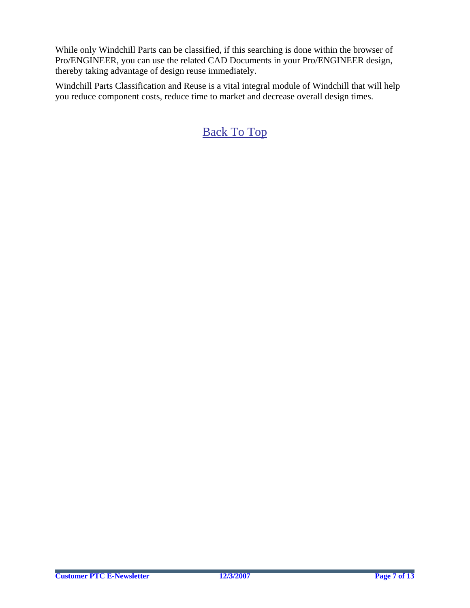While only Windchill Parts can be classified, if this searching is done within the browser of Pro/ENGINEER, you can use the related CAD Documents in your Pro/ENGINEER design, thereby taking advantage of design reuse immediately.

Windchill Parts Classification and Reuse is a vital integral module of Windchill that will help you reduce component costs, reduce time to market and decrease overall design times.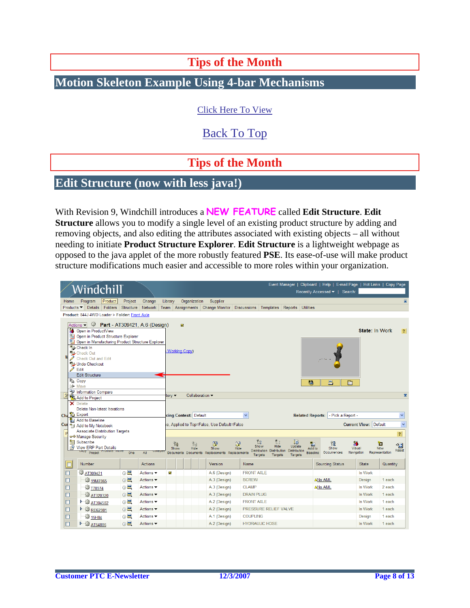## **Tips of the Month**

## <span id="page-7-0"></span>**Motion Skeleton Example Using 4-bar Mechanisms**

[Click Here To View](http://members.shaw.ca/jpeng/newsletter/PTC_Technical_Specialists_E-Newsletter_12-01-2007_desktop.pdf)

[Back To Top](#page-0-0)

## **Tips of the Month**

### **Edit Structure (now with less java!)**

### With Revision 9, Windchill introduces a **NEW FEATURE** called **Edit Structure**. **Edit**

**Structure** allows you to modify a single level of an existing product structure by adding and removing objects, and also editing the attributes associated with existing objects – all without needing to initiate **Product Structure Explorer**. **Edit Structure** is a lightweight webpage as opposed to the java applet of the more robustly featured **PSE**. Its ease-of-use will make product structure modifications much easier and accessible to more roles within your organization.

|        | Windchill                                                                                                                                                                                                                                                            |         |                               |                              |                           |                                                  |                                                          |                                         |                                       |                                |                                        | Event Manager   Clipboard   Help   E-mail Page   Hot Links   Copy Page<br>Recently Accessed v   Search: |                                             |                       |                                                                               |
|--------|----------------------------------------------------------------------------------------------------------------------------------------------------------------------------------------------------------------------------------------------------------------------|---------|-------------------------------|------------------------------|---------------------------|--------------------------------------------------|----------------------------------------------------------|-----------------------------------------|---------------------------------------|--------------------------------|----------------------------------------|---------------------------------------------------------------------------------------------------------|---------------------------------------------|-----------------------|-------------------------------------------------------------------------------|
| Home   | Program                                                                                                                                                                                                                                                              | Product | Project                       | Change                       | Library                   | Organization                                     | Supplier                                                 |                                         |                                       |                                |                                        |                                                                                                         |                                             |                       | ᆂ                                                                             |
|        | Products $\blacktriangledown$ Details                                                                                                                                                                                                                                | Folders | Structure                     | Network                      |                           |                                                  | Team   Assignments   Change Monitor                      | Discussions Templates Reports Utilities |                                       |                                |                                        |                                                                                                         |                                             |                       |                                                                               |
|        | Product: 844J 4WD Loader > Folder: Front Axle                                                                                                                                                                                                                        |         |                               |                              |                           |                                                  |                                                          |                                         |                                       |                                |                                        |                                                                                                         |                                             |                       |                                                                               |
| Í      | - 19<br>Actions -<br><b>Po</b> Open in ProductView<br><b>P:</b> Open in Product Structure Explorer<br>Open in Manufacturing Product Structure Explorer<br>PL Check In<br><b>HL</b> Check Out<br>Check Out and Edit<br>Undo Checkout<br>Edit<br><b>Edit Structure</b> |         | Part - AT309421, A.6 (Design) |                              |                           | $\overline{\mathbf{M}}$<br><b>Working Copy)</b>  |                                                          |                                         |                                       |                                |                                        |                                                                                                         |                                             | <b>State: In Work</b> | 2                                                                             |
|        | <b>Le<sub>m</sub></b> Copy<br><b>B</b> Move                                                                                                                                                                                                                          |         |                               |                              |                           |                                                  |                                                          |                                         |                                       |                                | 鸜                                      | 昌                                                                                                       | Ò                                           |                       |                                                                               |
|        | <sup>9</sup> Information Compare                                                                                                                                                                                                                                     |         |                               |                              |                           |                                                  |                                                          |                                         |                                       |                                |                                        |                                                                                                         |                                             |                       |                                                                               |
|        | <b>PLA</b> Add to Project                                                                                                                                                                                                                                            |         |                               |                              | tory $\blacktriangledown$ |                                                  | Collaboration -                                          |                                         |                                       |                                |                                        |                                                                                                         |                                             |                       | $\overline{\mathbf{z}}$                                                       |
|        | X Delete<br><b>Delete Non-latest Iterations</b><br>Che Export<br>Add to Baseline<br>Cur * Add to My Notebook<br><b>Associate Distribution Targets</b><br>ज <sup>→</sup> Manage Security<br>图 Subscribe<br>View ERP Part Details                                      |         |                               |                              |                           | cing Context: Default<br>የ⊞<br>钽<br>Show<br>Hide | ie, Applied to Top=False, Use Default=False<br>땽<br>Show | v<br>23<br>Y<br>Show<br>Hide            | 휨<br>Hide                             | l5<br>Update                   | <b>Related Reports:</b><br>ħ<br>Add to | - Pick a Report -<br>镥<br>Show                                                                          | <b>Current View: Default</b><br>絁<br>Visual | 泊<br>New              | $\checkmark$<br>$\checkmark$<br>$\left  \cdot \right $<br>$\sqrt{1}$<br>Reset |
|        | Copy Project Frontote Move                                                                                                                                                                                                                                           |         | One                           | All                          |                           | <b>Documents</b><br><b>Documents</b>             | Replacements Replacements                                | <b>Distribution</b><br><b>Targets</b>   | <b>Distribution</b><br><b>Targets</b> | <b>Distribution</b><br>Targets | <b>Baseline</b>                        | Occurrences                                                                                             | Navigation                                  | Representation        |                                                                               |
| $\Box$ | Number                                                                                                                                                                                                                                                               |         |                               | <b>Actions</b>               |                           |                                                  | Version                                                  | Name                                    |                                       |                                |                                        | <b>Sourcing Status</b>                                                                                  | <b>State</b>                                |                       | Quantity                                                                      |
| П      | <sup>32</sup> AT309421                                                                                                                                                                                                                                               |         | $\times$                      | Actions $\blacktriangledown$ | $\overline{\mathbf{v}}$   |                                                  | A.6 (Design)                                             | <b>FRONT AXLE</b>                       |                                       |                                |                                        |                                                                                                         | In Work                                     |                       |                                                                               |
| П      | <sup>19</sup> 19M7865                                                                                                                                                                                                                                                |         | ① K                           | Actions $\blacktriangledown$ |                           |                                                  | A.3 (Design)                                             | <b>SCREW</b>                            |                                       |                                |                                        | <b>△No AML</b>                                                                                          | Design                                      |                       | 1 each                                                                        |
| □      | <b>W T78974</b>                                                                                                                                                                                                                                                      |         | $\n  0\n$                     | Actions $\blacktriangledown$ |                           |                                                  | A.3 (Design)                                             | <b>CLAMP</b>                            |                                       |                                |                                        | ANo AML                                                                                                 | In Work                                     | 2 each                |                                                                               |
| □      | <b>ED AT320320</b>                                                                                                                                                                                                                                                   |         | $\odot$ $\blacksquare$        | Actions $\blacktriangledown$ |                           |                                                  | A.3 (Design)                                             | <b>DRAIN PLUG</b>                       |                                       |                                |                                        |                                                                                                         | In Work                                     | 1 each                |                                                                               |
| ▣      | ← @ AT304582                                                                                                                                                                                                                                                         |         | GB                            | Actions $\blacktriangledown$ |                           |                                                  | A.2 (Design)                                             | <b>FRONT AXLE</b>                       |                                       |                                |                                        |                                                                                                         | In Work                                     |                       | 1 each                                                                        |
| □      | <b>F @ RE62981</b>                                                                                                                                                                                                                                                   |         | 0                             | Actions $\blacktriangledown$ |                           |                                                  | A.2 (Design)                                             | PRESSURE RELIEF VALVE                   |                                       |                                |                                        |                                                                                                         | In Work                                     |                       |                                                                               |
|        |                                                                                                                                                                                                                                                                      |         |                               |                              |                           |                                                  |                                                          |                                         |                                       |                                |                                        |                                                                                                         |                                             |                       | 1 each                                                                        |
| П      | @ 15H84                                                                                                                                                                                                                                                              |         | $\times$                      | Actions $\blacktriangledown$ |                           |                                                  | A.1 (Design)                                             | <b>COUPLING</b>                         |                                       |                                |                                        |                                                                                                         | Design                                      | 1 each                |                                                                               |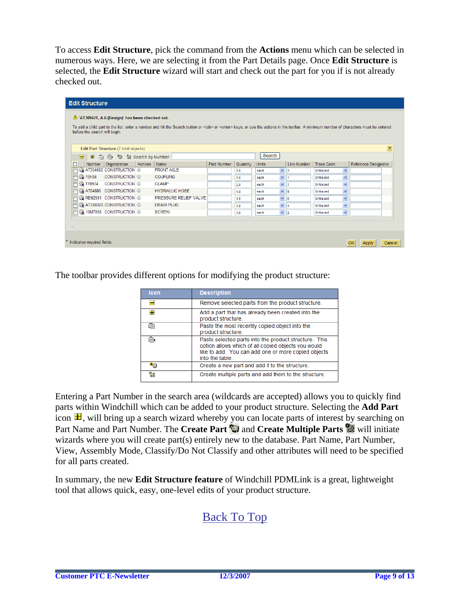To access **Edit Structure**, pick the command from the **Actions** menu which can be selected in numerous ways. Here, we are selecting it from the Part Details page. Once **Edit Structure** is selected, the **Edit Structure** wizard will start and check out the part for you if is not already checked out.

|        | <b>Edit Structure</b>                            |                               |                                       |         |                                                                                                                                                                                                     |                    |          |              |                    |                   |                         |                      |                |
|--------|--------------------------------------------------|-------------------------------|---------------------------------------|---------|-----------------------------------------------------------------------------------------------------------------------------------------------------------------------------------------------------|--------------------|----------|--------------|--------------------|-------------------|-------------------------|----------------------|----------------|
|        | A 'AT309421, A.6 (Design)' has been checked out. |                               |                                       |         |                                                                                                                                                                                                     |                    |          |              |                    |                   |                         |                      |                |
|        |                                                  | before the search will begin. |                                       |         | To add a child part to the list, enter a number and hit the Search button or <tab> or <enter> keys, or use the actions in the toolbar. A minimum number of characters must be entered</enter></tab> |                    |          |              |                    |                   |                         |                      |                |
|        |                                                  |                               |                                       |         |                                                                                                                                                                                                     |                    |          |              |                    |                   |                         |                      |                |
|        |                                                  |                               | Edit Part Structure (7 total objects) |         |                                                                                                                                                                                                     |                    |          |              |                    |                   |                         |                      | $\overline{?}$ |
|        | $\blacksquare$                                   | $\blacksquare$<br>G           | <b>e</b> ♦ ۞ * \$ Search by Number:   |         |                                                                                                                                                                                                     |                    |          | Search       |                    |                   |                         |                      |                |
|        |                                                  | <b>Number</b>                 | Organization                          | Actions | Name                                                                                                                                                                                                | <b>Find Number</b> | Quantity | <b>Units</b> | <b>Line Number</b> | <b>Trace Code</b> |                         | Reference Designator |                |
|        |                                                  |                               | <b>SA AT304582 CONSTRUCTION 1</b>     |         | <b>FRONT AXLE</b>                                                                                                                                                                                   |                    | 1.0      | each         | $\checkmark$<br>13 | Untraced          | $\checkmark$            |                      |                |
|        |                                                  | <b>3</b> 15H84                | <b>CONSTRUCTION (i)</b>               |         | <b>COUPLING</b>                                                                                                                                                                                     |                    | 1.0      | each         | $\checkmark$       | Untraced          | v                       |                      |                |
|        |                                                  | <b>3 T78974</b>               | CONSTRUCTION <b>O</b>                 |         | <b>CLAMP</b>                                                                                                                                                                                        |                    | 2.0      | each         | $\checkmark$<br>17 | Untraced          | $\overline{\mathbf{v}}$ |                      |                |
|        |                                                  |                               | G AT64886 CONSTRUCTION 1              |         | <b>HYDRAULIC HOSE</b>                                                                                                                                                                               |                    | 1.0      | each         | $\checkmark$<br>15 | Untraced          | $\checkmark$            |                      |                |
| $\Box$ |                                                  |                               | 3 RE62981 CONSTRUCTION ①              |         | PRESSURE RELIEF VALVE                                                                                                                                                                               |                    | 1.0      | each         | $\checkmark$<br>6  | Untraced          | v                       |                      |                |
|        |                                                  |                               | SA AT320320 CONSTRUCTION 1            |         | <b>DRAIN PLUG</b>                                                                                                                                                                                   |                    | 1.0      | each         | v<br>4             | <b>Untraced</b>   | v                       |                      |                |
|        |                                                  |                               | 3 19M7865 CONSTRUCTION 3              |         | <b>SCREW</b>                                                                                                                                                                                        |                    | 1.0      | each         | $\vee$ 2           | Untraced          | $\overline{\mathbf{v}}$ |                      |                |
|        |                                                  |                               |                                       |         |                                                                                                                                                                                                     |                    |          |              |                    |                   |                         |                      |                |
|        |                                                  |                               |                                       |         |                                                                                                                                                                                                     |                    |          |              |                    |                   |                         |                      |                |
|        |                                                  |                               |                                       |         |                                                                                                                                                                                                     |                    |          |              |                    |                   |                         |                      |                |
|        | Indicates required fields.<br>Cancel<br>Apply    |                               |                                       |         |                                                                                                                                                                                                     |                    |          |              |                    |                   |                         |                      |                |
|        |                                                  |                               |                                       |         |                                                                                                                                                                                                     |                    |          |              |                    |                   |                         |                      |                |

The toolbar provides different options for modifying the product structure:

| Icon | <b>Description</b>                                                                                                                                                                     |
|------|----------------------------------------------------------------------------------------------------------------------------------------------------------------------------------------|
|      | Remove selected parts from the product structure.                                                                                                                                      |
| ÷    | Add a part that has already been created into the<br>product structure.                                                                                                                |
| 喧    | Paste the most recently copied object into the<br>product structure.                                                                                                                   |
| Ê.   | Paste selected parts into the product structure. This<br>option allows which of all copied objects you would<br>like to add. You can add one or more copied objects<br>into the table. |
| ₩    | Create a new part and add it to the structure.                                                                                                                                         |
| 楼    | Create multiple parts and add them to the structure.                                                                                                                                   |

Entering a Part Number in the search area (wildcards are accepted) allows you to quickly find parts within Windchill which can be added to your product structure. Selecting the **Add Part** icon  $\mathbf{H}$ , will bring up a search wizard whereby you can locate parts of interest by searching on Part Name and Part Number. The **Create Part** and **Create Multiple Parts** will initiate wizards where you will create part(s) entirely [new](javascript:popupAction() to the database. [Par](javascript:popupAction()t Name, Part Number, View, Assembly Mode, Classify/Do Not Classify and other attributes will need to be specified for all parts created.

In summary, the new **Edit Structure feature** of Windchill PDMLink is a great, lightweight tool that allows quick, easy, one-level edits of your product structure.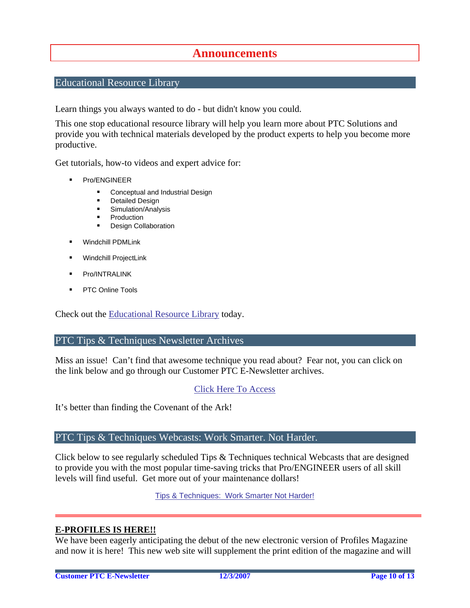### **Announcements**

### <span id="page-9-0"></span>Educational Resource Library

Learn things you always wanted to do - but didn't know you could.

This one stop educational resource library will help you learn more about PTC Solutions and provide you with technical materials developed by the product experts to help you become more productive.

Get tutorials, how-to videos and expert advice for:

- **Pro/ENGINEER** 
	- **EXECONCEPT** Conceptual and Industrial Design
	- **•** Detailed Design
	- **Simulation/Analysis**
	- Production
	- Design Collaboration
- Windchill PDMLink
- Windchill ProjectLink
- Pro/INTRALINK
- PTC Online Tools

Check out the [Educational Resource Library](http://www.ptc.com/community/proewf/newtools/tutorials.htm) today.

#### PTC Tips & Techniques Newsletter Archives

Miss an issue! Can't find that awesome technique you read about? Fear not, you can click on the link below and go through our Customer PTC E-Newsletter archives.

#### [Click Here To Access](http://www.ptc.com/carezone/archive/index.htm)

It's better than finding the Covenant of the Ark!

#### PTC Tips & Techniques Webcasts: Work Smarter. Not Harder.

Click below to see regularly scheduled Tips & Techniques technical Webcasts that are designed to provide you with the most popular time-saving tricks that Pro/ENGINEER users of all skill levels will find useful. Get more out of your maintenance dollars!

[Tips & Techniques: Work Smarter Not Harder!](http://www.ptc.com/appserver/it/icm/cda/template_lib/events/series.jsp?&im_dbkey=11442&icg_dbkey=141)

#### **E-PROFILES IS HERE!!**

We have been eagerly anticipating the debut of the new electronic version of Profiles Magazine and now it is here! This new web site will supplement the print edition of the magazine and will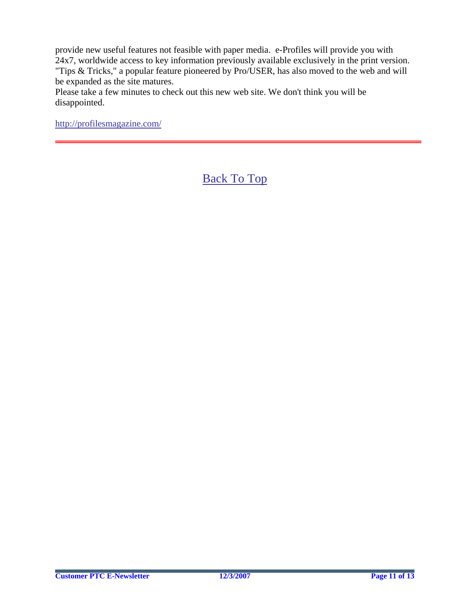provide new useful features not feasible with paper media. e-Profiles will provide you with 24x7, worldwide access to key information previously available exclusively in the print version. "Tips & Tricks," a popular feature pioneered by Pro/USER, has also moved to the web and will be expanded as the site matures.

Please take a few minutes to check out this new web site. We don't think you will be disappointed.

<http://profilesmagazine.com/>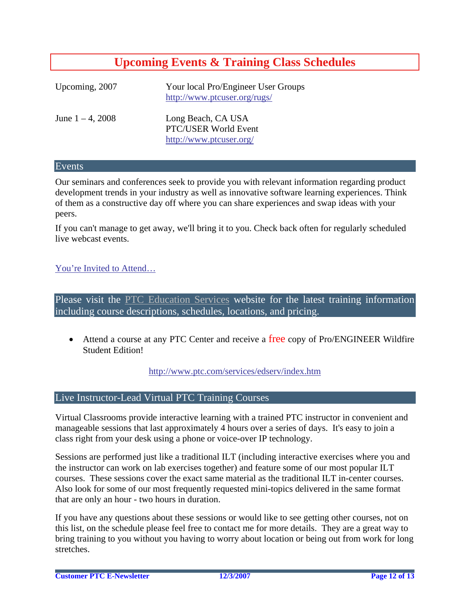# **Upcoming Events & Training Class Schedules**

<span id="page-11-0"></span>

| Upcoming, 2007      | Your local Pro/Engineer User Groups<br>http://www.ptcuser.org/rugs/   |
|---------------------|-----------------------------------------------------------------------|
| June $1 - 4$ , 2008 | Long Beach, CA USA<br>PTC/USER World Event<br>http://www.ptcuser.org/ |

#### Events

Our seminars and conferences seek to provide you with relevant information regarding product development trends in your industry as well as innovative software learning experiences. Think of them as a constructive day off where you can share experiences and swap ideas with your peers.

If you can't manage to get away, we'll bring it to you. Check back often for regularly scheduled live webcast events.

### [You're Invited to Attend…](http://www.ptc.com/company/news/events/index.htm)

Please visit the [PTC Education Services](http://www.ptc.com/services/edserv/) website for the latest training information including course descriptions, schedules, locations, and pricing.

• Attend a course at any PTC Center and receive a free copy of Pro/ENGINEER Wildfire Student Edition!

<http://www.ptc.com/services/edserv/index.htm>

#### Live Instructor-Lead Virtual PTC Training Courses

Virtual Classrooms provide interactive learning with a trained PTC instructor in convenient and manageable sessions that last approximately 4 hours over a series of days. It's easy to join a class right from your desk using a phone or voice-over IP technology.

Sessions are performed just like a traditional ILT (including interactive exercises where you and the instructor can work on lab exercises together) and feature some of our most popular ILT courses. These sessions cover the exact same material as the traditional ILT in-center courses. Also look for some of our most frequently requested mini-topics delivered in the same format that are only an hour - two hours in duration.

If you have any questions about these sessions or would like to see getting other courses, not on this list, on the schedule please feel free to contact me for more details. They are a great way to bring training to you without you having to worry about location or being out from work for long stretches.